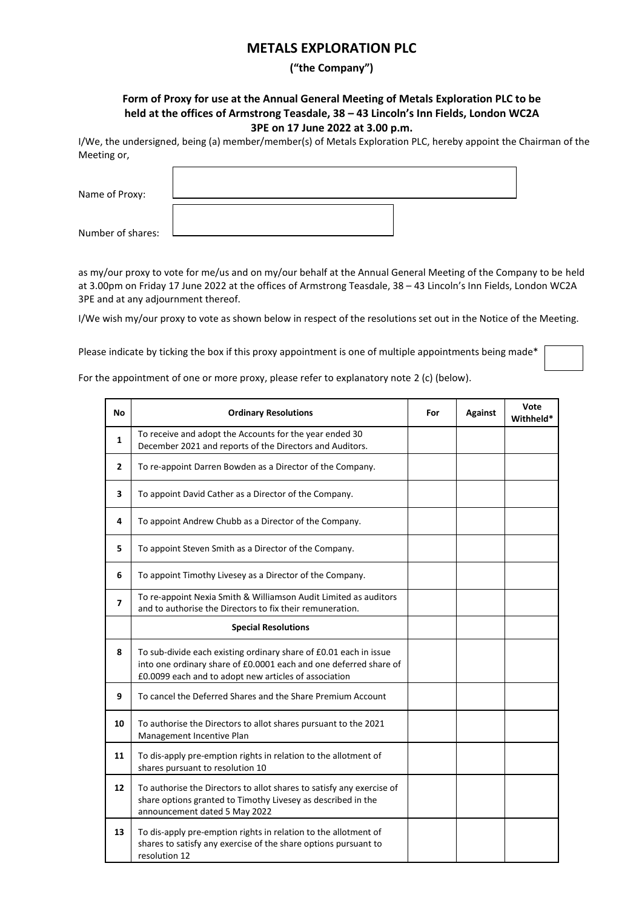## **METALS EXPLORATION PLC**

## **("the Company")**

## **Form of Proxy for use at the Annual General Meeting of Metals Exploration PLC to be held at the offices of Armstrong Teasdale, 38 – 43 Lincoln's Inn Fields, London WC2A 3PE on 17 June 2022 at 3.00 p.m.**

I/We, the undersigned, being (a) member/member(s) of Metals Exploration PLC, hereby appoint the Chairman of the Meeting or,

| Name of Proxy:    |  |
|-------------------|--|
|                   |  |
| Number of shares: |  |

as my/our proxy to vote for me/us and on my/our behalf at the Annual General Meeting of the Company to be held at 3.00pm on Friday 17 June 2022 at the offices of Armstrong Teasdale, 38 – 43 Lincoln's Inn Fields, London WC2A 3PE and at any adjournment thereof.

I/We wish my/our proxy to vote as shown below in respect of the resolutions set out in the Notice of the Meeting.

Please indicate by ticking the box if this proxy appointment is one of multiple appointments being made\*

For the appointment of one or more proxy, please refer to explanatory note 2 (c) (below).

| <b>No</b>      | <b>Ordinary Resolutions</b>                                                                                                                                                                     | For | Against | Vote<br>Withheld* |
|----------------|-------------------------------------------------------------------------------------------------------------------------------------------------------------------------------------------------|-----|---------|-------------------|
| 1              | To receive and adopt the Accounts for the year ended 30<br>December 2021 and reports of the Directors and Auditors.                                                                             |     |         |                   |
| $\mathbf{z}$   | To re-appoint Darren Bowden as a Director of the Company.                                                                                                                                       |     |         |                   |
| 3              | To appoint David Cather as a Director of the Company.                                                                                                                                           |     |         |                   |
| 4              | To appoint Andrew Chubb as a Director of the Company.                                                                                                                                           |     |         |                   |
| 5              | To appoint Steven Smith as a Director of the Company.                                                                                                                                           |     |         |                   |
| 6              | To appoint Timothy Livesey as a Director of the Company.                                                                                                                                        |     |         |                   |
| $\overline{ }$ | To re-appoint Nexia Smith & Williamson Audit Limited as auditors<br>and to authorise the Directors to fix their remuneration.                                                                   |     |         |                   |
|                | <b>Special Resolutions</b>                                                                                                                                                                      |     |         |                   |
| 8              | To sub-divide each existing ordinary share of £0.01 each in issue<br>into one ordinary share of £0.0001 each and one deferred share of<br>£0.0099 each and to adopt new articles of association |     |         |                   |
| 9              | To cancel the Deferred Shares and the Share Premium Account                                                                                                                                     |     |         |                   |
| 10             | To authorise the Directors to allot shares pursuant to the 2021<br>Management Incentive Plan                                                                                                    |     |         |                   |
| 11             | To dis-apply pre-emption rights in relation to the allotment of<br>shares pursuant to resolution 10                                                                                             |     |         |                   |
| 12             | To authorise the Directors to allot shares to satisfy any exercise of<br>share options granted to Timothy Livesey as described in the<br>announcement dated 5 May 2022                          |     |         |                   |
| 13             | To dis-apply pre-emption rights in relation to the allotment of<br>shares to satisfy any exercise of the share options pursuant to<br>resolution 12                                             |     |         |                   |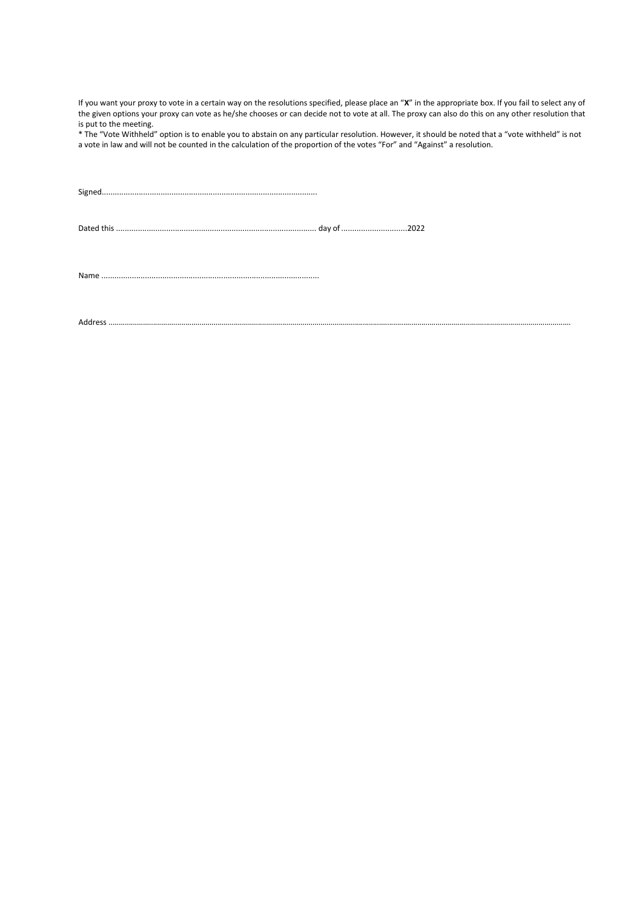If you want your proxy to vote in a certain way on the resolutions specified, please place an "**X**" in the appropriate box. If you fail to select any of the given options your proxy can vote as he/she chooses or can decide not to vote at all. The proxy can also do this on any other resolution that is put to the meeting.

\* The "Vote Withheld" option is to enable you to abstain on any particular resolution. However, it should be noted that a "vote withheld" is not a vote in law and will not be counted in the calculation of the proportion of the votes "For" and "Against" a resolution.

Address .....................................................................................................................................................................................................................................